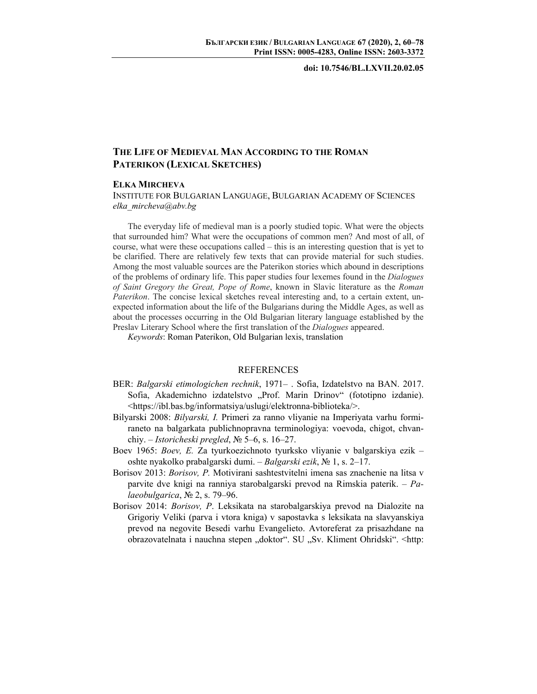**doi: 10.7546/BL.LXVII.20.02.05** 

## **ТHE LIFE OF MEDIEVAL MAN ACCORDING TO THE ROMAN PATERIKON (LEXICAL SKETCHES)**

## **ELKA MIRCHEVA**

INSTITUTE FOR BULGARIAN LANGUAGE, BULGARIAN ACADEMY OF SCIENCES *elka\_mircheva@abv.bg* 

The everyday life of medieval man is a poorly studied topic. What were the objects that surrounded him? What were the occupations of common men? And most of all, of course, what were these occupations called – this is an interesting question that is yet to be clarified. There are relatively few texts that can provide material for such studies. Among the most valuable sources are the Paterikon stories which abound in descriptions of the problems of ordinary life. This paper studies four lexemes found in the *Dialogues of Saint Gregory the Great, Pope of Rome*, known in Slavic literature as the *Roman Paterikon*. The concise lexical sketches reveal interesting and, to a certain extent, unexpected information about the life of the Bulgarians during the Middle Ages, as well as about the processes occurring in the Old Bulgarian literary language established by the Preslav Literary School where the first translation of the *Dialogues* appeared.

*Keywords*: Roman Paterikon, Old Bulgarian lexis, translation

## REFERENCES

- BER: *Balgarski etimologichen rechnik*, 1971– . Sofia, Izdatelstvo na BAN. 2017. Sofia, Akademichno izdatelstvo "Prof. Marin Drinov" (fototipno izdanie). <https://ibl.bas.bg/informatsiya/uslugi/elektronna-biblioteka/>.
- Bilyarski 2008: *Bilyarski, I.* Primeri za ranno vliyanie na Imperiyata varhu formiraneto na balgarkata publichnopravna terminologiya: voevoda, chigot, chvanchiy. – *Istoricheski pregled*, № 5–6, s. 16–27.
- Boev 1965: *Boev, E.* Za tyurkoezichnoto tyurksko vliyanie v balgarskiya ezik oshte nyakolko prabalgarski dumi. – *Balgarski ezik*, № 1, s. 2–17.
- Borisov 2013: *Borisov, P.* Motivirani sashtestvitelni imena sas znachenie na litsa v parvite dve knigi na ranniya starobalgarski prevod na Rimskia paterik. – *Palaeobulgarica*, № 2, s. 79–96.
- Borisov 2014: *Borisov, P*. Leksikata na starobalgarskiya prevod na Dialozite na Grigoriy Veliki (parva i vtora kniga) v sapostavka s leksikata na slavyanskiya prevod na negovite Besedi varhu Evangelieto. Avtoreferat za prisazhdane na obrazovatelnata i nauchna stepen "doktor". SU "Sv. Kliment Ohridski". <http: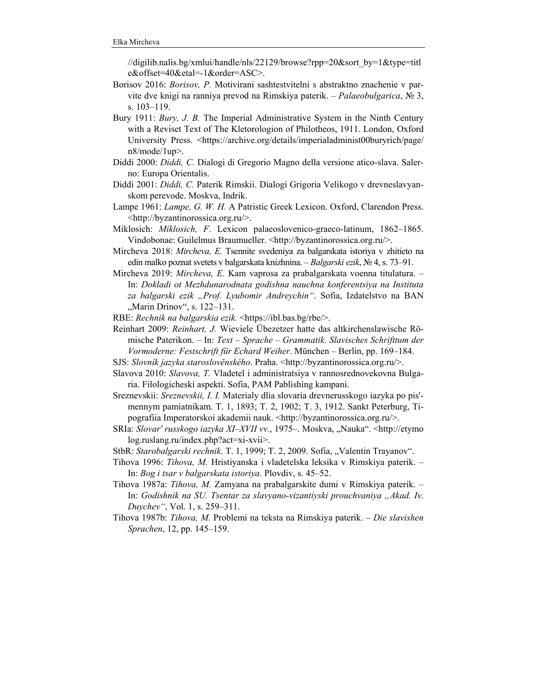//digilib.nalis.bg/xmlui/handle/nls/22129/browse?rpp=20&sort\_by=1&type=titl e&offset=40&etal=-1&order=ASC>.

- Borisov 2016: *Borisov, P.* Motivirani sashtestvitelni s abstraktno znachenie v parvite dve knigi na ranniya prevod na Rimskiya paterik. – *Palaeobulgarica*, № 3, s. 103–119.
- Bury 1911: *Bury, J. B.* The Imperial Administrative System in the Ninth Century with a Reviset Text of The Kletorologion of Philotheos, 1911. London, Oxford University Press. <https://archive.org/details/imperialadminist00buryrich/page/ n8/mode/1up>.
- Diddi 2000: *Diddi, C.* Dialogi di Gregorio Magno della versione atico-slava. Salerno: Europa Orientalis.
- Diddi 2001: *Diddi, C.* Paterik Rimskii. Dialogi Grigoria Velikogo v drevneslavyanskom perevode. Moskva, Indrik.
- Lampe 1961: *Lampe, G. W. H.* A Patristic Greek Lexicon. Oxford, Clarendon Press. <http://byzantinorossica.org.ru/>.
- Miklosich: *Miklosich, F*. Lexicon palaeoslovenico-graeco-latinum, 1862–1865. Vindobonae: Guilelmus Braumueller. <http://byzantinorossica.org.ru/>.
- Mircheva 2018: *Mircheva, E.* Tsennite svedeniya za balgarskata istoriya v zhitieto na edin malko poznat svetets v balgarskata knizhnina. – *Balgarski ezik*, № 4, s. 73–91.
- Mircheva 2019: *Mircheva, E*. Kam vaprosa za prabalgarskata voenna titulatura. In: *Dokladi ot Mezhdunarodnata godishna nauchna konferentsiya na Instituta za balgarski ezik "Prof. Lyubomir Andreychin"*. Sofia, Izdatelstvo na BAN "Marin Drinov", s. 122–131.
- RBE: *Rechnik na balgarskia ezik.* <https://ibl.bas.bg/rbe/>.
- Reinhart 2009: *Reinhart, J.* Wieviele Übezetzer hatte das altkirchenslawische Römische Paterikon. – In: *Text – Sprache – Grammatik. Slavisches Schrifttum der Vormoderne: Festschrift für Echard Weiher*. München – Berlin, pp. 169–184.
- SJS: *Slovník jazyka staroslovĕnského*. Praha. <http://byzantinorossica.org.ru/>.
- Slavova 2010: *Slavova, T.* Vladetel i administratsiya v rannosrednovekovna Bulgaria. Filologicheski aspekti. Sofia, PAM Pablishing kampani.
- Sreznevskii: *Sreznevskii, I. I.* Materialy dlia slovaria drevnerusskogo iazyka po pis' mennym pamiatnikam. T. 1, 1893; T. 2, 1902; T. 3, 1912. Sankt Peterburg, Tipografiia Imperatorskoi akademii nauk. <http://byzantinorossica.org.ru/>.
- SRIa: *Slovar' russkogo iazyka XI-XVII vv.*, 1975-. Moskva, "Nauka". <http://etymo log.ruslang.ru/index.php?act=xi-xvii>.
- StbR: *Starobalgarski rechnik*. T. 1, 1999; T. 2, 2009. Sofia, "Valentin Trayanov".
- Tihova 1996: *Tihova, M.* Hristiyanska i vladetelska leksika v Rimskiya paterik. In: *Bog i tsar v balgarskata istoriya*. Plovdiv, s. 45–52.
- Tihova 1987a: *Tihova, M.* Zamyana na prabalgarskite dumi v Rimskiya paterik. In: Godishnik na SU. Tsentar za slavyano-vizantiyski prouchvaniya "Akad. Iv. *Duychev"*, Vol. 1, s. 259–311.
- Tihova 1987b: *Tihova, M.* Problemi na teksta na Rimskiya paterik. *Die slavishen Sprachen*, 12, pp. 145–159.